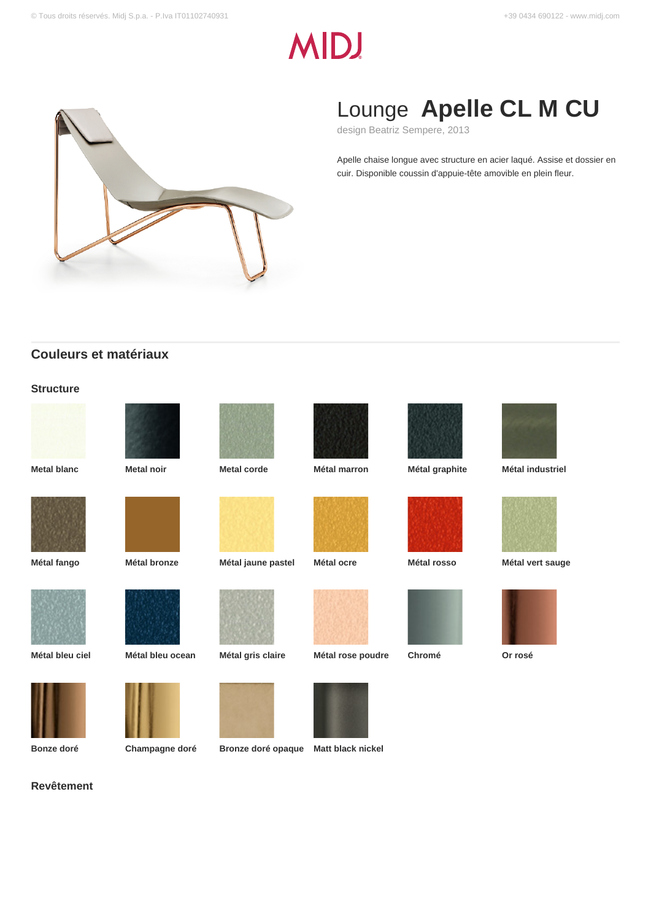# **MIDJ**



## Lounge **Apelle CL M CU**

design Beatriz Sempere, 2013

Apelle chaise longue avec structure en acier laqué. Assise et dossier en cuir. Disponible coussin d'appuie-tête amovible en plein fleur.

## **Couleurs et matériaux**

## **Structure**













**Metal blanc Metal noir Metal corde Métal marron Métal graphite Métal industriel**



**Métal fango Métal bronze Métal jaune pastel Métal ocre Métal rosso Métal vert sauge**











**Revêtement**



**Métal bleu ciel Métal bleu ocean Métal gris claire Métal rose poudre Chromé Or rosé**















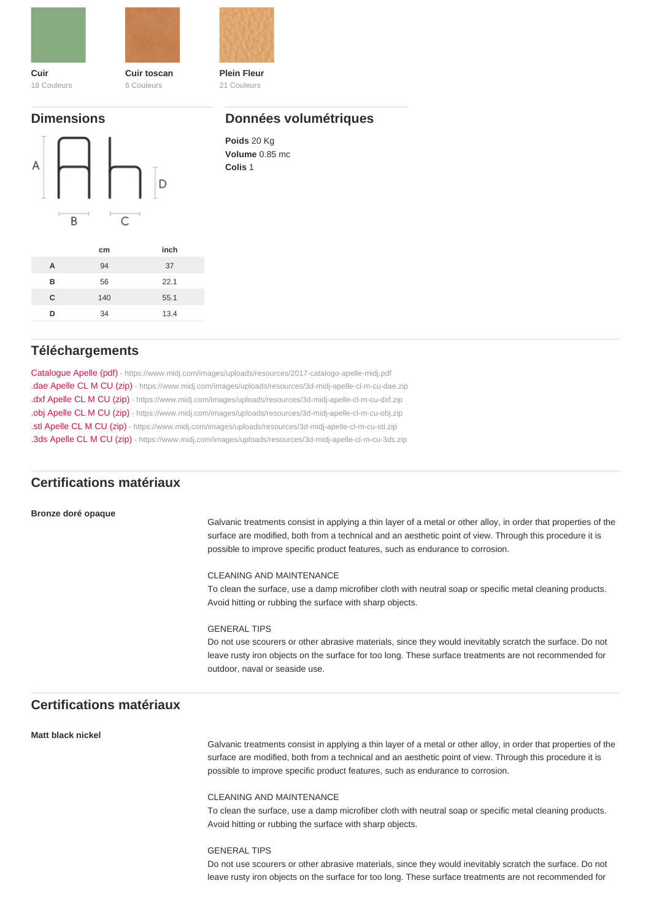Cuir 18 Couleurs

Cuir toscan 6 Couleurs

#### Plein Fleur 21 Couleurs

## Dimensions

## Données volumétriques

Poids 20 Kg Volume 0.85 mc Colis<sub>1</sub>

|   | cm  | inch |
|---|-----|------|
| A | 94  | 37   |
| B | 56  | 22.1 |
| C | 140 | 55.1 |
| D | 34  | 13.4 |
|   |     |      |

## Téléchargements

[Catalogue Apelle \(pdf\)](https://www.midj.com/images/uploads/resources/2017-catalogo-apelle-midj.pdf) [- https://www.midj.com/images/uploads/resources/2017-catalogo-apelle-midj.pdf](https://www.midj.com/images/uploads/resources/2017-catalogo-apelle-midj.pdf) [.dae Apelle CL M CU \(zip\)](https://www.midj.com/images/uploads/resources/3d-midj-apelle-cl-m-cu-dae.zip) [- https://www.midj.com/images/uploads/resources/3d-midj-apelle-cl-m-cu-dae.zip](https://www.midj.com/images/uploads/resources/3d-midj-apelle-cl-m-cu-dae.zip) [.dxf Apelle CL M CU \(zip\)](https://www.midj.com/images/uploads/resources/3d-midj-apelle-cl-m-cu-dxf.zip) [- https://www.midj.com/images/uploads/resources/3d-midj-apelle-cl-m-cu-dxf.zip](https://www.midj.com/images/uploads/resources/3d-midj-apelle-cl-m-cu-dxf.zip) [.obj Apelle CL M CU \(zip\)](https://www.midj.com/images/uploads/resources/3d-midj-apelle-cl-m-cu-obj.zip) [- https://www.midj.com/images/uploads/resources/3d-midj-apelle-cl-m-cu-obj.zip](https://www.midj.com/images/uploads/resources/3d-midj-apelle-cl-m-cu-obj.zip) [.stl Apelle CL M CU \(zip\)](https://www.midj.com/images/uploads/resources/3d-midj-apelle-cl-m-cu-stl.zip) [- https://www.midj.com/images/uploads/resources/3d-midj-apelle-cl-m-cu-stl.zip](https://www.midj.com/images/uploads/resources/3d-midj-apelle-cl-m-cu-stl.zip) [.3ds Apelle CL M CU \(zip\)](https://www.midj.com/images/uploads/resources/3d-midj-apelle-cl-m-cu-3ds.zip) [- https://www.midj.com/images/uploads/resources/3d-midj-apelle-cl-m-cu-3ds.zip](https://www.midj.com/images/uploads/resources/3d-midj-apelle-cl-m-cu-3ds.zip)

## Certifications matériaux

#### Bronze doré opaque

Galvanic treatments consist in applying a thin layer of a metal or other alloy, in order that properties of the surface are modified, both from a technical and an aesthetic point of view. Through this procedure it is possible to improve specific product features, such as endurance to corrosion.

#### CLEANING AND MAINTENANCE

To clean the surface, use a damp microfiber cloth with neutral soap or specific metal cleaning products. Avoid hitting or rubbing the surface with sharp objects.

#### GENERAL TIPS

Do not use scourers or other abrasive materials, since they would inevitably scratch the surface. Do not leave rusty iron objects on the surface for too long. These surface treatments are not recommended for outdoor, naval or seaside use.

## Certifications matériaux

Matt black nickel

Galvanic treatments consist in applying a thin layer of a metal or other alloy, in order that properties of the surface are modified, both from a technical and an aesthetic point of view. Through this procedure it is possible to improve specific product features, such as endurance to corrosion.

## CLEANING AND MAINTENANCE

To clean the surface, use a damp microfiber cloth with neutral soap or specific metal cleaning products. Avoid hitting or rubbing the surface with sharp objects.

## GENERAL TIPS

Do not use scourers or other abrasive materials, since they would inevitably scratch the surface. Do not leave rusty iron objects on the surface for too long. These surface treatments are not recommended for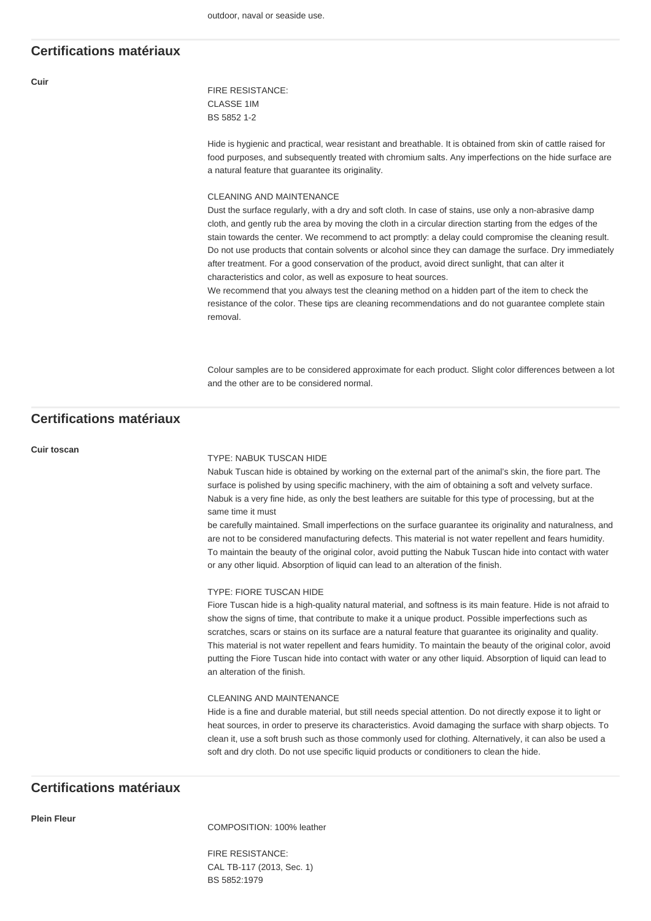## **Certifications matériaux**

**Cuir**

FIRE RESISTANCE: CLASSE 1IM BS 5852 1-2

Hide is hygienic and practical, wear resistant and breathable. It is obtained from skin of cattle raised for food purposes, and subsequently treated with chromium salts. Any imperfections on the hide surface are a natural feature that guarantee its originality.

#### CLEANING AND MAINTENANCE

Dust the surface regularly, with a dry and soft cloth. In case of stains, use only a non-abrasive damp cloth, and gently rub the area by moving the cloth in a circular direction starting from the edges of the stain towards the center. We recommend to act promptly: a delay could compromise the cleaning result. Do not use products that contain solvents or alcohol since they can damage the surface. Dry immediately after treatment. For a good conservation of the product, avoid direct sunlight, that can alter it characteristics and color, as well as exposure to heat sources.

We recommend that you always test the cleaning method on a hidden part of the item to check the resistance of the color. These tips are cleaning recommendations and do not guarantee complete stain removal.

Colour samples are to be considered approximate for each product. Slight color differences between a lot and the other are to be considered normal.

## **Certifications matériaux**

**Cuir toscan**

#### TYPE: NABUK TUSCAN HIDE

Nabuk Tuscan hide is obtained by working on the external part of the animal's skin, the fiore part. The surface is polished by using specific machinery, with the aim of obtaining a soft and velvety surface. Nabuk is a very fine hide, as only the best leathers are suitable for this type of processing, but at the same time it must

be carefully maintained. Small imperfections on the surface guarantee its originality and naturalness, and are not to be considered manufacturing defects. This material is not water repellent and fears humidity. To maintain the beauty of the original color, avoid putting the Nabuk Tuscan hide into contact with water or any other liquid. Absorption of liquid can lead to an alteration of the finish.

#### TYPE: FIORE TUSCAN HIDE

Fiore Tuscan hide is a high-quality natural material, and softness is its main feature. Hide is not afraid to show the signs of time, that contribute to make it a unique product. Possible imperfections such as scratches, scars or stains on its surface are a natural feature that guarantee its originality and quality. This material is not water repellent and fears humidity. To maintain the beauty of the original color, avoid putting the Fiore Tuscan hide into contact with water or any other liquid. Absorption of liquid can lead to an alteration of the finish.

#### CLEANING AND MAINTENANCE

Hide is a fine and durable material, but still needs special attention. Do not directly expose it to light or heat sources, in order to preserve its characteristics. Avoid damaging the surface with sharp objects. To clean it, use a soft brush such as those commonly used for clothing. Alternatively, it can also be used a soft and dry cloth. Do not use specific liquid products or conditioners to clean the hide.

## **Certifications matériaux**

**Plein Fleur**

COMPOSITION: 100% leather

FIRE RESISTANCE: CAL TB-117 (2013, Sec. 1) BS 5852:1979